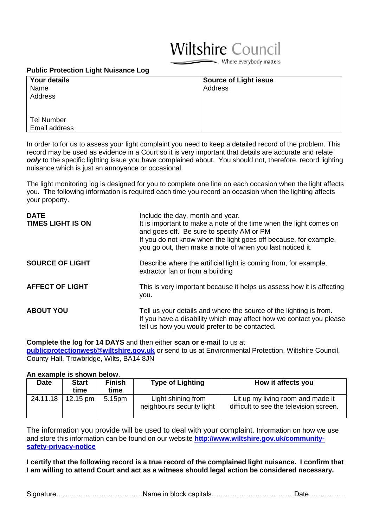## **Wiltshire Council**

 $\sim$  Where everybody matters

## **Public Protection Light Nuisance Log**

**Source of Light issue**

Name **Address** Tel Number

Email address

**Your details**

**Address** 

In order to for us to assess your light complaint you need to keep a detailed record of the problem. This record may be used as evidence in a Court so it is very important that details are accurate and relate **only** to the specific lighting issue you have complained about. You should not, therefore, record lighting nuisance which is just an annoyance or occasional.

The light monitoring log is designed for you to complete one line on each occasion when the light affects you. The following information is required each time you record an occasion when the lighting affects your property.

| <b>DATE</b><br><b>TIMES LIGHT IS ON</b> | Include the day, month and year.<br>It is important to make a note of the time when the light comes on<br>and goes off. Be sure to specify AM or PM<br>If you do not know when the light goes off because, for example,<br>you go out, then make a note of when you last noticed it. |
|-----------------------------------------|--------------------------------------------------------------------------------------------------------------------------------------------------------------------------------------------------------------------------------------------------------------------------------------|
| <b>SOURCE OF LIGHT</b>                  | Describe where the artificial light is coming from, for example,<br>extractor fan or from a building                                                                                                                                                                                 |
| <b>AFFECT OF LIGHT</b>                  | This is very important because it helps us assess how it is affecting<br>you.                                                                                                                                                                                                        |
| <b>ABOUT YOU</b>                        | Tell us your details and where the source of the lighting is from.<br>If you have a disability which may affect how we contact you please<br>tell us how you would prefer to be contacted.                                                                                           |

**Complete the log for 14 DAYS** and then either **scan or e-mail** to us at

**[publicprotectionwest@wiltshire.gov.uk](mailto:publicprotectionwest@wiltshire.gov.uk)** or send to us at Environmental Protection, Wiltshire Council, County Hall, Trowbridge, Wilts, BA14 8JN

## **An example is shown below**.

| <b>Date</b> | <b>Start</b><br>time | <b>Finish</b><br>time | <b>Type of Lighting</b>                         | How it affects you                                                           |
|-------------|----------------------|-----------------------|-------------------------------------------------|------------------------------------------------------------------------------|
|             | 24.11.18   12.15 pm  | 5.15pm                | Light shining from<br>neighbours security light | Lit up my living room and made it<br>difficult to see the television screen. |

The information you provide will be used to deal with your complaint. Information on how we use and store this information can be found on our website **[http://www.wiltshire.gov.uk/community](http://www.wiltshire.gov.uk/community-safety-privacy-notice)[safety-privacy-notice](http://www.wiltshire.gov.uk/community-safety-privacy-notice)**

**I certify that the following record is a true record of the complained light nuisance. I confirm that I am willing to attend Court and act as a witness should legal action be considered necessary.**

Signature………………………………………Name in block capitals…………………………………………Date…………………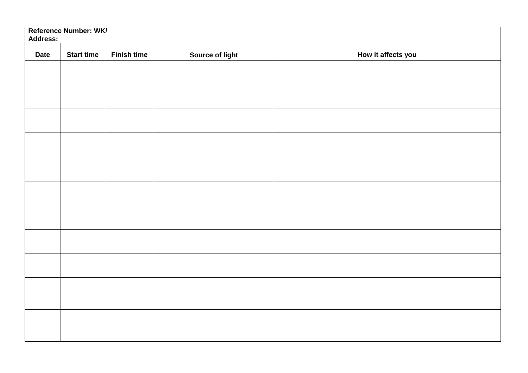| Reference Number: WK/<br><b>Address:</b> |                   |                    |                 |                    |
|------------------------------------------|-------------------|--------------------|-----------------|--------------------|
| <b>Date</b>                              | <b>Start time</b> | <b>Finish time</b> | Source of light | How it affects you |
|                                          |                   |                    |                 |                    |
|                                          |                   |                    |                 |                    |
|                                          |                   |                    |                 |                    |
|                                          |                   |                    |                 |                    |
|                                          |                   |                    |                 |                    |
|                                          |                   |                    |                 |                    |
|                                          |                   |                    |                 |                    |
|                                          |                   |                    |                 |                    |
|                                          |                   |                    |                 |                    |
|                                          |                   |                    |                 |                    |
|                                          |                   |                    |                 |                    |
|                                          |                   |                    |                 |                    |
|                                          |                   |                    |                 |                    |
|                                          |                   |                    |                 |                    |
|                                          |                   |                    |                 |                    |
|                                          |                   |                    |                 |                    |
|                                          |                   |                    |                 |                    |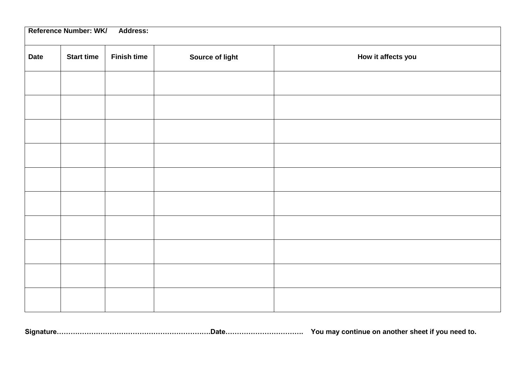| <b>Reference Number: WK/</b><br>Address: |                   |                    |                        |                    |
|------------------------------------------|-------------------|--------------------|------------------------|--------------------|
| <b>Date</b>                              | <b>Start time</b> | <b>Finish time</b> | <b>Source of light</b> | How it affects you |
|                                          |                   |                    |                        |                    |
|                                          |                   |                    |                        |                    |
|                                          |                   |                    |                        |                    |
|                                          |                   |                    |                        |                    |
|                                          |                   |                    |                        |                    |
|                                          |                   |                    |                        |                    |
|                                          |                   |                    |                        |                    |
|                                          |                   |                    |                        |                    |
|                                          |                   |                    |                        |                    |
|                                          |                   |                    |                        |                    |

**Signature………………………………………………………….Date……………………………. You may continue on another sheet if you need to.**